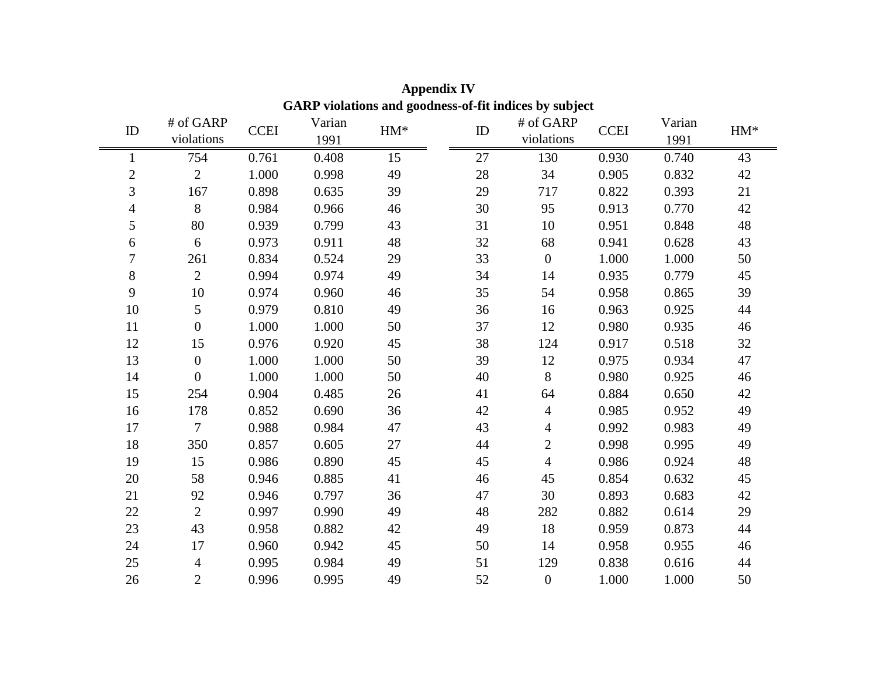| violations and goodness-of-fit marces by subject |                  |             |        |       |        |                |             |        |       |
|--------------------------------------------------|------------------|-------------|--------|-------|--------|----------------|-------------|--------|-------|
| ID                                               | # of GARP        | <b>CCEI</b> | Varian | $HM*$ | ID     | # of GARP      | <b>CCEI</b> | Varian | $HM*$ |
|                                                  | violations       |             | 1991   |       |        | violations     |             | 1991   |       |
|                                                  | 754              | 0.761       | 0.408  | 15    | 27     | 130            | 0.930       | 0.740  | 43    |
| $\overline{c}$                                   | $\overline{2}$   | 1.000       | 0.998  | 49    | $28\,$ | 34             | 0.905       | 0.832  | 42    |
| $\overline{3}$                                   | 167              | 0.898       | 0.635  | 39    | 29     | 717            | 0.822       | 0.393  | 21    |
| $\overline{4}$                                   | 8                | 0.984       | 0.966  | 46    | 30     | 95             | 0.913       | 0.770  | 42    |
| 5                                                | 80               | 0.939       | 0.799  | 43    | 31     | 10             | 0.951       | 0.848  | 48    |
| 6                                                | 6                | 0.973       | 0.911  | 48    | 32     | 68             | 0.941       | 0.628  | 43    |
| $\tau$                                           | 261              | 0.834       | 0.524  | 29    | 33     | $\mathbf{0}$   | 1.000       | 1.000  | 50    |
| $8\,$                                            | $\overline{2}$   | 0.994       | 0.974  | 49    | 34     | 14             | 0.935       | 0.779  | 45    |
| 9                                                | 10               | 0.974       | 0.960  | 46    | 35     | 54             | 0.958       | 0.865  | 39    |
| $10\,$                                           | 5                | 0.979       | 0.810  | 49    | 36     | 16             | 0.963       | 0.925  | 44    |
| 11                                               | $\boldsymbol{0}$ | 1.000       | 1.000  | 50    | 37     | 12             | 0.980       | 0.935  | 46    |
| 12                                               | 15               | 0.976       | 0.920  | 45    | 38     | 124            | 0.917       | 0.518  | 32    |
| 13                                               | $\overline{0}$   | 1.000       | 1.000  | 50    | 39     | 12             | 0.975       | 0.934  | 47    |
| 14                                               | $\overline{0}$   | 1.000       | 1.000  | 50    | 40     | 8              | 0.980       | 0.925  | 46    |
| 15                                               | 254              | 0.904       | 0.485  | 26    | 41     | 64             | 0.884       | 0.650  | 42    |
| 16                                               | 178              | 0.852       | 0.690  | 36    | 42     | $\overline{4}$ | 0.985       | 0.952  | 49    |
| 17                                               | $\overline{7}$   | 0.988       | 0.984  | 47    | 43     | 4              | 0.992       | 0.983  | 49    |
| 18                                               | 350              | 0.857       | 0.605  | 27    | 44     | $\overline{2}$ | 0.998       | 0.995  | 49    |
| 19                                               | 15               | 0.986       | 0.890  | 45    | 45     | $\overline{4}$ | 0.986       | 0.924  | 48    |
| 20                                               | 58               | 0.946       | 0.885  | 41    | 46     | 45             | 0.854       | 0.632  | 45    |
| 21                                               | 92               | 0.946       | 0.797  | 36    | 47     | 30             | 0.893       | 0.683  | 42    |
| 22                                               | $\overline{2}$   | 0.997       | 0.990  | 49    | 48     | 282            | 0.882       | 0.614  | 29    |
| 23                                               | 43               | 0.958       | 0.882  | 42    | 49     | 18             | 0.959       | 0.873  | 44    |
| 24                                               | 17               | 0.960       | 0.942  | 45    | 50     | 14             | 0.958       | 0.955  | 46    |
| 25                                               | 4                | 0.995       | 0.984  | 49    | 51     | 129            | 0.838       | 0.616  | 44    |
| 26                                               | $\overline{2}$   | 0.996       | 0.995  | 49    | 52     | $\overline{0}$ | 1.000       | 1.000  | 50    |

**Appendix IV GARP violations and goodness-of-fit indices by subject**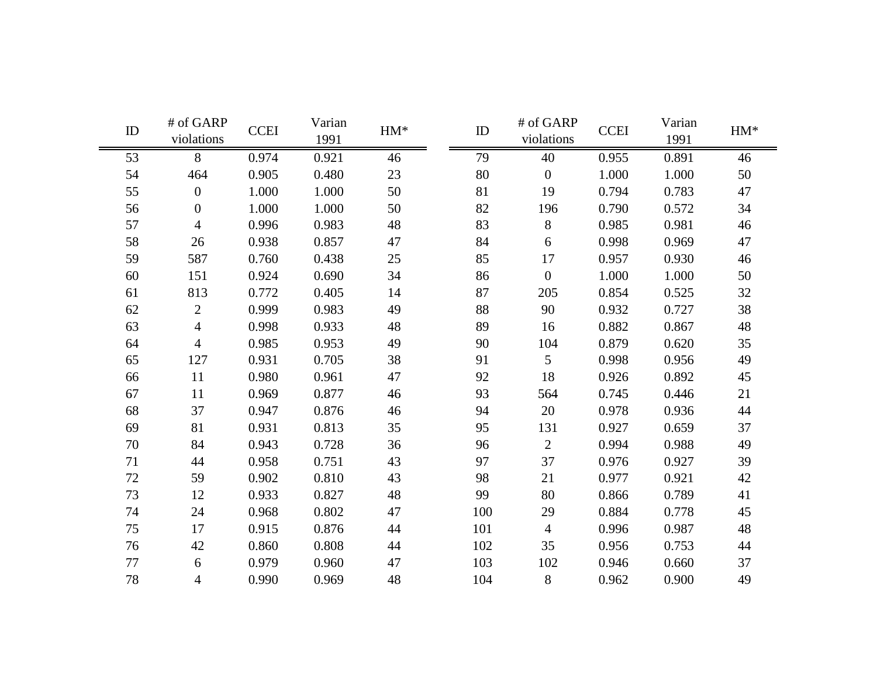| ID | # of GARP<br>violations | <b>CCEI</b> | Varian<br>1991 | $HM^{\ast}$ | ID     | # of GARP<br>violations | <b>CCEI</b> | Varian<br>1991 | $HM*$ |
|----|-------------------------|-------------|----------------|-------------|--------|-------------------------|-------------|----------------|-------|
| 53 | 8                       | 0.974       | 0.921          | 46          | 79     | 40                      | 0.955       | 0.891          | 46    |
| 54 | 464                     | 0.905       | 0.480          | 23          | $80\,$ | $\overline{0}$          | 1.000       | 1.000          | 50    |
| 55 | $\mathbf{0}$            | 1.000       | 1.000          | 50          | 81     | 19                      | 0.794       | 0.783          | 47    |
| 56 | $\boldsymbol{0}$        | 1.000       | 1.000          | 50          | 82     | 196                     | 0.790       | 0.572          | 34    |
| 57 | $\overline{4}$          | 0.996       | 0.983          | 48          | 83     | 8                       | 0.985       | 0.981          | 46    |
| 58 | 26                      | 0.938       | 0.857          | 47          | 84     | 6                       | 0.998       | 0.969          | 47    |
| 59 | 587                     | 0.760       | 0.438          | 25          | 85     | 17                      | 0.957       | 0.930          | 46    |
| 60 | 151                     | 0.924       | 0.690          | 34          | 86     | $\overline{0}$          | 1.000       | 1.000          | 50    |
| 61 | 813                     | 0.772       | 0.405          | 14          | 87     | 205                     | 0.854       | 0.525          | 32    |
| 62 | $\overline{2}$          | 0.999       | 0.983          | 49          | 88     | 90                      | 0.932       | 0.727          | 38    |
| 63 | $\overline{4}$          | 0.998       | 0.933          | 48          | 89     | 16                      | 0.882       | 0.867          | 48    |
| 64 | $\overline{4}$          | 0.985       | 0.953          | 49          | 90     | 104                     | 0.879       | 0.620          | 35    |
| 65 | 127                     | 0.931       | 0.705          | 38          | 91     | 5                       | 0.998       | 0.956          | 49    |
| 66 | 11                      | 0.980       | 0.961          | 47          | 92     | 18                      | 0.926       | 0.892          | 45    |
| 67 | 11                      | 0.969       | 0.877          | 46          | 93     | 564                     | 0.745       | 0.446          | 21    |
| 68 | 37                      | 0.947       | 0.876          | 46          | 94     | 20                      | 0.978       | 0.936          | 44    |
| 69 | 81                      | 0.931       | 0.813          | 35          | 95     | 131                     | 0.927       | 0.659          | 37    |
| 70 | 84                      | 0.943       | 0.728          | 36          | 96     | $\overline{2}$          | 0.994       | 0.988          | 49    |
| 71 | 44                      | 0.958       | 0.751          | 43          | 97     | 37                      | 0.976       | 0.927          | 39    |
| 72 | 59                      | 0.902       | 0.810          | 43          | 98     | 21                      | 0.977       | 0.921          | 42    |
| 73 | 12                      | 0.933       | 0.827          | 48          | 99     | 80                      | 0.866       | 0.789          | 41    |
| 74 | 24                      | 0.968       | 0.802          | 47          | 100    | 29                      | 0.884       | 0.778          | 45    |
| 75 | 17                      | 0.915       | 0.876          | 44          | 101    | $\overline{4}$          | 0.996       | 0.987          | 48    |
| 76 | 42                      | 0.860       | 0.808          | 44          | 102    | 35                      | 0.956       | 0.753          | 44    |
| 77 | 6                       | 0.979       | 0.960          | 47          | 103    | 102                     | 0.946       | 0.660          | 37    |
| 78 | 4                       | 0.990       | 0.969          | 48          | 104    | 8                       | 0.962       | 0.900          | 49    |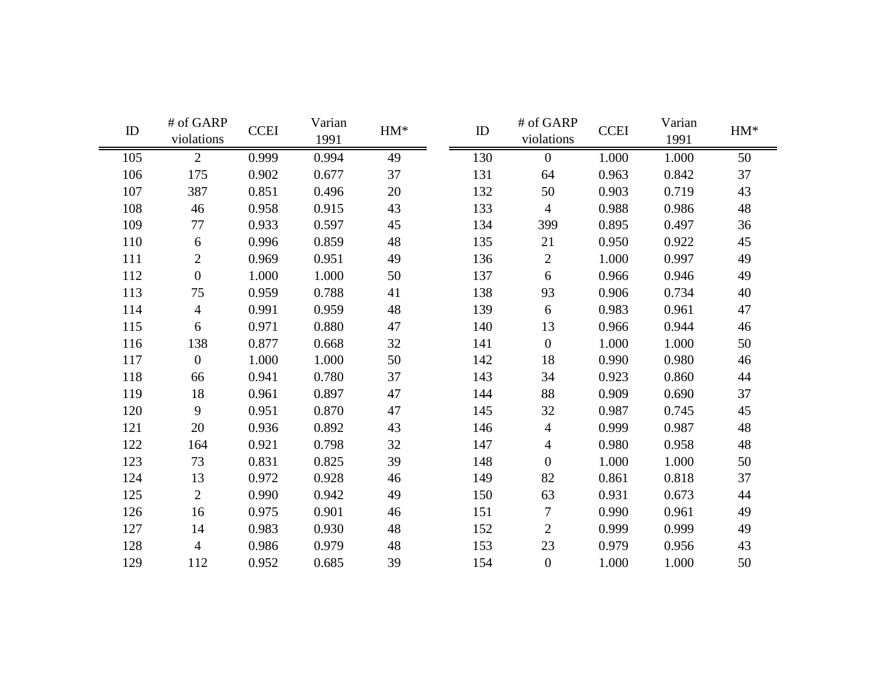| ID  | # of GARP<br>violations | <b>CCEI</b> | Varian<br>1991 | $HM*$ | ID  | # of GARP<br>violations | <b>CCEI</b> | Varian<br>1991 | $HM*$ |
|-----|-------------------------|-------------|----------------|-------|-----|-------------------------|-------------|----------------|-------|
| 105 | $\overline{2}$          | 0.999       | 0.994          | 49    | 130 | $\overline{0}$          | 1.000       | 1.000          | 50    |
| 106 | 175                     | 0.902       | 0.677          | 37    | 131 | 64                      | 0.963       | 0.842          | 37    |
| 107 | 387                     | 0.851       | 0.496          | 20    | 132 | 50                      | 0.903       | 0.719          | 43    |
| 108 | 46                      | 0.958       | 0.915          | 43    | 133 | $\overline{4}$          | 0.988       | 0.986          | 48    |
| 109 | 77                      | 0.933       | 0.597          | 45    | 134 | 399                     | 0.895       | 0.497          | 36    |
| 110 | 6                       | 0.996       | 0.859          | 48    | 135 | 21                      | 0.950       | 0.922          | 45    |
| 111 | $\overline{2}$          | 0.969       | 0.951          | 49    | 136 | $\overline{2}$          | 1.000       | 0.997          | 49    |
| 112 | $\boldsymbol{0}$        | 1.000       | 1.000          | 50    | 137 | 6                       | 0.966       | 0.946          | 49    |
| 113 | 75                      | 0.959       | 0.788          | 41    | 138 | 93                      | 0.906       | 0.734          | 40    |
| 114 | $\overline{4}$          | 0.991       | 0.959          | 48    | 139 | 6                       | 0.983       | 0.961          | 47    |
| 115 | 6                       | 0.971       | 0.880          | 47    | 140 | 13                      | 0.966       | 0.944          | 46    |
| 116 | 138                     | 0.877       | 0.668          | 32    | 141 | $\overline{0}$          | 1.000       | 1.000          | 50    |
| 117 | $\overline{0}$          | 1.000       | 1.000          | 50    | 142 | 18                      | 0.990       | 0.980          | 46    |
| 118 | 66                      | 0.941       | 0.780          | 37    | 143 | 34                      | 0.923       | 0.860          | 44    |
| 119 | 18                      | 0.961       | 0.897          | 47    | 144 | 88                      | 0.909       | 0.690          | 37    |
| 120 | 9                       | 0.951       | 0.870          | 47    | 145 | 32                      | 0.987       | 0.745          | 45    |
| 121 | 20                      | 0.936       | 0.892          | 43    | 146 | $\overline{4}$          | 0.999       | 0.987          | 48    |
| 122 | 164                     | 0.921       | 0.798          | 32    | 147 | $\overline{4}$          | 0.980       | 0.958          | 48    |
| 123 | 73                      | 0.831       | 0.825          | 39    | 148 | $\overline{0}$          | 1.000       | 1.000          | 50    |
| 124 | 13                      | 0.972       | 0.928          | 46    | 149 | 82                      | 0.861       | 0.818          | 37    |
| 125 | $\overline{2}$          | 0.990       | 0.942          | 49    | 150 | 63                      | 0.931       | 0.673          | 44    |
| 126 | 16                      | 0.975       | 0.901          | 46    | 151 | $\tau$                  | 0.990       | 0.961          | 49    |
| 127 | 14                      | 0.983       | 0.930          | 48    | 152 | $\overline{2}$          | 0.999       | 0.999          | 49    |
| 128 | $\overline{4}$          | 0.986       | 0.979          | 48    | 153 | 23                      | 0.979       | 0.956          | 43    |
| 129 | 112                     | 0.952       | 0.685          | 39    | 154 | $\overline{0}$          | 1.000       | 1.000          | 50    |